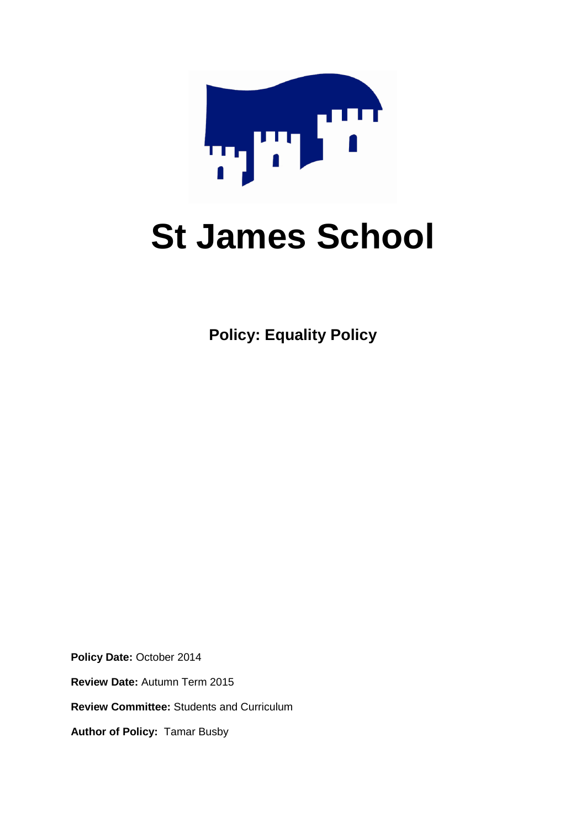

# **St James School**

**Policy: Equality Policy**

**Policy Date:** October 2014 **Review Date:** Autumn Term 2015 **Review Committee:** Students and Curriculum **Author of Policy:** Tamar Busby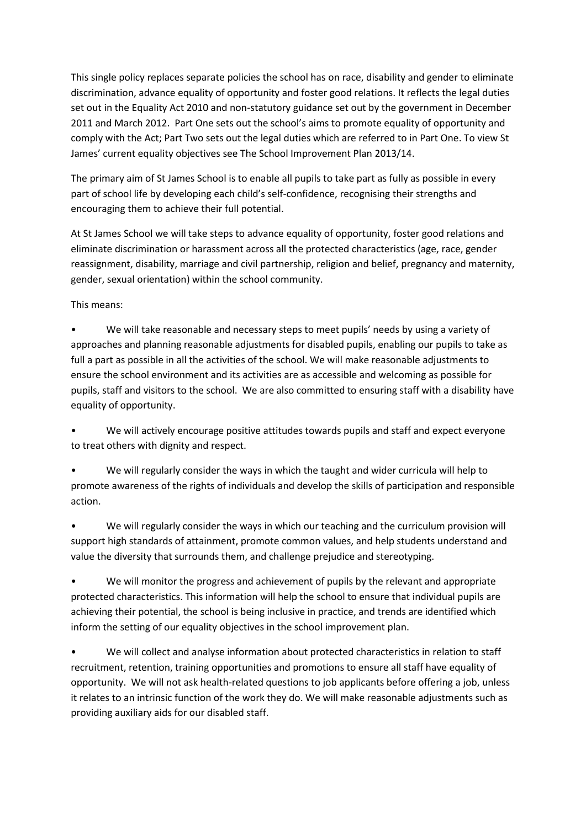This single policy replaces separate policies the school has on race, disability and gender to eliminate discrimination, advance equality of opportunity and foster good relations. It reflects the legal duties set out in the Equality Act 2010 and non-statutory guidance set out by the government in December 2011 and March 2012. Part One sets out the school's aims to promote equality of opportunity and comply with the Act; Part Two sets out the legal duties which are referred to in Part One. To view St James' current equality objectives see The School Improvement Plan 2013/14.

The primary aim of St James School is to enable all pupils to take part as fully as possible in every part of school life by developing each child's self-confidence, recognising their strengths and encouraging them to achieve their full potential.

At St James School we will take steps to advance equality of opportunity, foster good relations and eliminate discrimination or harassment across all the protected characteristics (age, race, gender reassignment, disability, marriage and civil partnership, religion and belief, pregnancy and maternity, gender, sexual orientation) within the school community.

This means:

• We will take reasonable and necessary steps to meet pupils' needs by using a variety of approaches and planning reasonable adjustments for disabled pupils, enabling our pupils to take as full a part as possible in all the activities of the school. We will make reasonable adjustments to ensure the school environment and its activities are as accessible and welcoming as possible for pupils, staff and visitors to the school. We are also committed to ensuring staff with a disability have equality of opportunity.

• We will actively encourage positive attitudes towards pupils and staff and expect everyone to treat others with dignity and respect.

• We will regularly consider the ways in which the taught and wider curricula will help to promote awareness of the rights of individuals and develop the skills of participation and responsible action.

• We will regularly consider the ways in which our teaching and the curriculum provision will support high standards of attainment, promote common values, and help students understand and value the diversity that surrounds them, and challenge prejudice and stereotyping.

• We will monitor the progress and achievement of pupils by the relevant and appropriate protected characteristics. This information will help the school to ensure that individual pupils are achieving their potential, the school is being inclusive in practice, and trends are identified which inform the setting of our equality objectives in the school improvement plan.

• We will collect and analyse information about protected characteristics in relation to staff recruitment, retention, training opportunities and promotions to ensure all staff have equality of opportunity. We will not ask health-related questions to job applicants before offering a job, unless it relates to an intrinsic function of the work they do. We will make reasonable adjustments such as providing auxiliary aids for our disabled staff.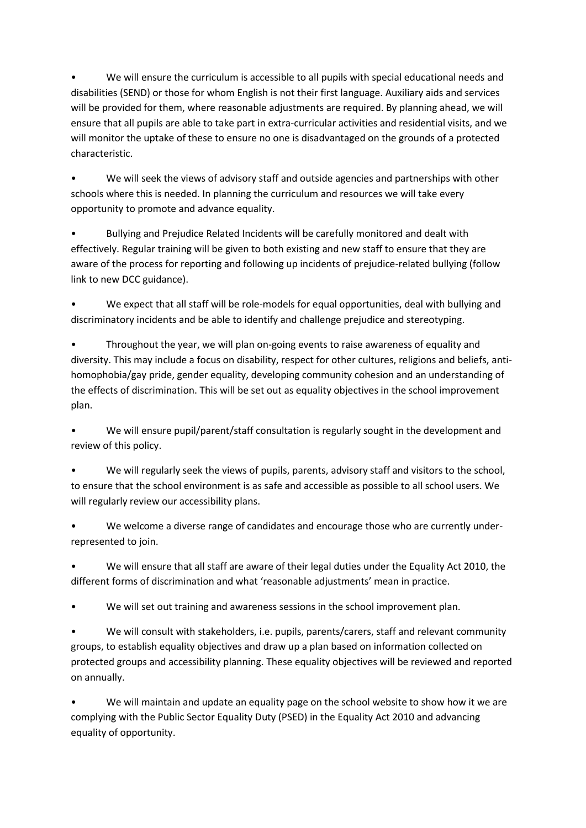• We will ensure the curriculum is accessible to all pupils with special educational needs and disabilities (SEND) or those for whom English is not their first language. Auxiliary aids and services will be provided for them, where reasonable adjustments are required. By planning ahead, we will ensure that all pupils are able to take part in extra-curricular activities and residential visits, and we will monitor the uptake of these to ensure no one is disadvantaged on the grounds of a protected characteristic.

• We will seek the views of advisory staff and outside agencies and partnerships with other schools where this is needed. In planning the curriculum and resources we will take every opportunity to promote and advance equality.

• Bullying and Prejudice Related Incidents will be carefully monitored and dealt with effectively. Regular training will be given to both existing and new staff to ensure that they are aware of the process for reporting and following up incidents of prejudice-related bullying (follow link to new DCC guidance).

• We expect that all staff will be role-models for equal opportunities, deal with bullying and discriminatory incidents and be able to identify and challenge prejudice and stereotyping.

• Throughout the year, we will plan on-going events to raise awareness of equality and diversity. This may include a focus on disability, respect for other cultures, religions and beliefs, antihomophobia/gay pride, gender equality, developing community cohesion and an understanding of the effects of discrimination. This will be set out as equality objectives in the school improvement plan.

• We will ensure pupil/parent/staff consultation is regularly sought in the development and review of this policy.

We will regularly seek the views of pupils, parents, advisory staff and visitors to the school, to ensure that the school environment is as safe and accessible as possible to all school users. We will regularly review our accessibility plans.

We welcome a diverse range of candidates and encourage those who are currently underrepresented to join.

• We will ensure that all staff are aware of their legal duties under the Equality Act 2010, the different forms of discrimination and what 'reasonable adjustments' mean in practice.

We will set out training and awareness sessions in the school improvement plan.

• We will consult with stakeholders, i.e. pupils, parents/carers, staff and relevant community groups, to establish equality objectives and draw up a plan based on information collected on protected groups and accessibility planning. These equality objectives will be reviewed and reported on annually.

• We will maintain and update an equality page on the school website to show how it we are complying with the Public Sector Equality Duty (PSED) in the Equality Act 2010 and advancing equality of opportunity.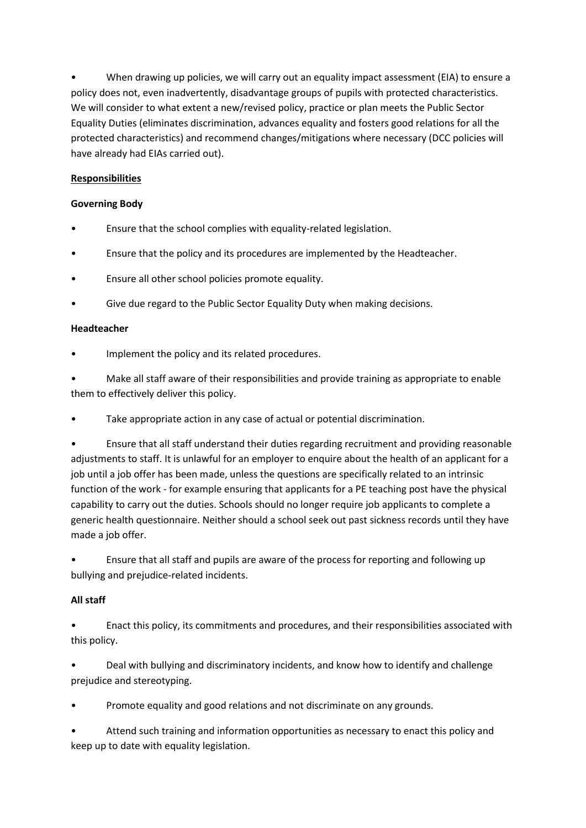• When drawing up policies, we will carry out an equality impact assessment (EIA) to ensure a policy does not, even inadvertently, disadvantage groups of pupils with protected characteristics. We will consider to what extent a new/revised policy, practice or plan meets the Public Sector Equality Duties (eliminates discrimination, advances equality and fosters good relations for all the protected characteristics) and recommend changes/mitigations where necessary (DCC policies will have already had EIAs carried out).

## **Responsibilities**

#### **Governing Body**

- Ensure that the school complies with equality-related legislation.
- Ensure that the policy and its procedures are implemented by the Headteacher.
- Ensure all other school policies promote equality.
- Give due regard to the Public Sector Equality Duty when making decisions.

#### **Headteacher**

Implement the policy and its related procedures.

• Make all staff aware of their responsibilities and provide training as appropriate to enable them to effectively deliver this policy.

Take appropriate action in any case of actual or potential discrimination.

• Ensure that all staff understand their duties regarding recruitment and providing reasonable adjustments to staff. It is unlawful for an employer to enquire about the health of an applicant for a job until a job offer has been made, unless the questions are specifically related to an intrinsic function of the work - for example ensuring that applicants for a PE teaching post have the physical capability to carry out the duties. Schools should no longer require job applicants to complete a generic health questionnaire. Neither should a school seek out past sickness records until they have made a job offer.

• Ensure that all staff and pupils are aware of the process for reporting and following up bullying and prejudice-related incidents.

#### **All staff**

• Enact this policy, its commitments and procedures, and their responsibilities associated with this policy.

• Deal with bullying and discriminatory incidents, and know how to identify and challenge prejudice and stereotyping.

• Promote equality and good relations and not discriminate on any grounds.

• Attend such training and information opportunities as necessary to enact this policy and keep up to date with equality legislation.